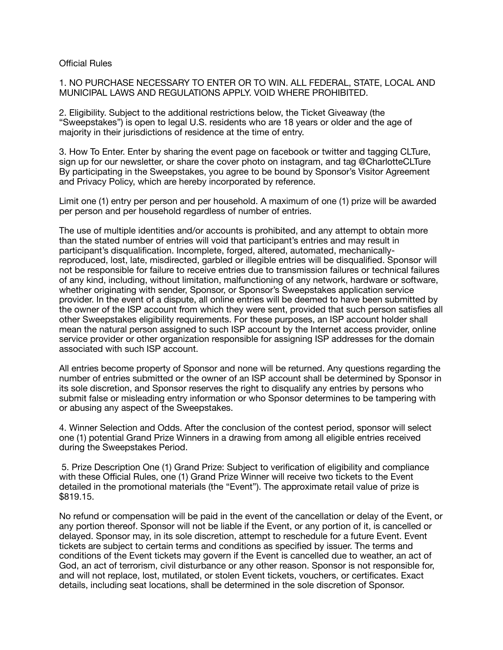## Official Rules

1. NO PURCHASE NECESSARY TO ENTER OR TO WIN. ALL FEDERAL, STATE, LOCAL AND MUNICIPAL LAWS AND REGULATIONS APPLY. VOID WHERE PROHIBITED.

2. Eligibility. Subject to the additional restrictions below, the Ticket Giveaway (the "Sweepstakes") is open to legal U.S. residents who are 18 years or older and the age of majority in their jurisdictions of residence at the time of entry.

3. How To Enter. Enter by sharing the event page on facebook or twitter and tagging CLTure, sign up for our newsletter, or share the cover photo on instagram, and tag @CharlotteCLTure By participating in the Sweepstakes, you agree to be bound by Sponsor's Visitor Agreement and Privacy Policy, which are hereby incorporated by reference.

Limit one (1) entry per person and per household. A maximum of one (1) prize will be awarded per person and per household regardless of number of entries.

The use of multiple identities and/or accounts is prohibited, and any attempt to obtain more than the stated number of entries will void that participant's entries and may result in participant's disqualification. Incomplete, forged, altered, automated, mechanicallyreproduced, lost, late, misdirected, garbled or illegible entries will be disqualified. Sponsor will not be responsible for failure to receive entries due to transmission failures or technical failures of any kind, including, without limitation, malfunctioning of any network, hardware or software, whether originating with sender, Sponsor, or Sponsor's Sweepstakes application service provider. In the event of a dispute, all online entries will be deemed to have been submitted by the owner of the ISP account from which they were sent, provided that such person satisfies all other Sweepstakes eligibility requirements. For these purposes, an ISP account holder shall mean the natural person assigned to such ISP account by the Internet access provider, online service provider or other organization responsible for assigning ISP addresses for the domain associated with such ISP account.

All entries become property of Sponsor and none will be returned. Any questions regarding the number of entries submitted or the owner of an ISP account shall be determined by Sponsor in its sole discretion, and Sponsor reserves the right to disqualify any entries by persons who submit false or misleading entry information or who Sponsor determines to be tampering with or abusing any aspect of the Sweepstakes.

4. Winner Selection and Odds. After the conclusion of the contest period, sponsor will select one (1) potential Grand Prize Winners in a drawing from among all eligible entries received during the Sweepstakes Period.

 5. Prize Description One (1) Grand Prize: Subject to verification of eligibility and compliance with these Official Rules, one (1) Grand Prize Winner will receive two tickets to the Event detailed in the promotional materials (the "Event"). The approximate retail value of prize is \$819.15.

No refund or compensation will be paid in the event of the cancellation or delay of the Event, or any portion thereof. Sponsor will not be liable if the Event, or any portion of it, is cancelled or delayed. Sponsor may, in its sole discretion, attempt to reschedule for a future Event. Event tickets are subject to certain terms and conditions as specified by issuer. The terms and conditions of the Event tickets may govern if the Event is cancelled due to weather, an act of God, an act of terrorism, civil disturbance or any other reason. Sponsor is not responsible for, and will not replace, lost, mutilated, or stolen Event tickets, vouchers, or certificates. Exact details, including seat locations, shall be determined in the sole discretion of Sponsor.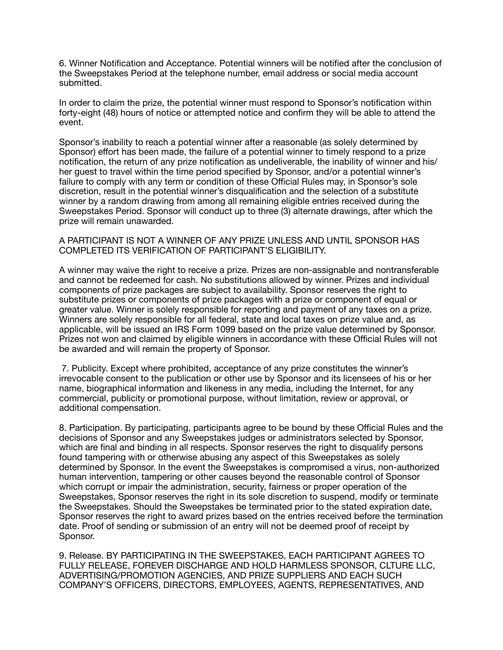6. Winner Notification and Acceptance. Potential winners will be notified after the conclusion of the Sweepstakes Period at the telephone number, email address or social media account submitted.

In order to claim the prize, the potential winner must respond to Sponsor's notification within forty-eight (48) hours of notice or attempted notice and confirm they will be able to attend the event.

Sponsor's inability to reach a potential winner after a reasonable (as solely determined by Sponsor) effort has been made, the failure of a potential winner to timely respond to a prize notification, the return of any prize notification as undeliverable, the inability of winner and his/ her guest to travel within the time period specified by Sponsor, and/or a potential winner's failure to comply with any term or condition of these Official Rules may, in Sponsor's sole discretion, result in the potential winner's disqualification and the selection of a substitute winner by a random drawing from among all remaining eligible entries received during the Sweepstakes Period. Sponsor will conduct up to three (3) alternate drawings, after which the prize will remain unawarded.

## A PARTICIPANT IS NOT A WINNER OF ANY PRIZE UNLESS AND UNTIL SPONSOR HAS COMPLETED ITS VERIFICATION OF PARTICIPANT'S ELIGIBILITY.

A winner may waive the right to receive a prize. Prizes are non-assignable and nontransferable and cannot be redeemed for cash. No substitutions allowed by winner. Prizes and individual components of prize packages are subject to availability. Sponsor reserves the right to substitute prizes or components of prize packages with a prize or component of equal or greater value. Winner is solely responsible for reporting and payment of any taxes on a prize. Winners are solely responsible for all federal, state and local taxes on prize value and, as applicable, will be issued an IRS Form 1099 based on the prize value determined by Sponsor. Prizes not won and claimed by eligible winners in accordance with these Official Rules will not be awarded and will remain the property of Sponsor.

 7. Publicity. Except where prohibited, acceptance of any prize constitutes the winner's irrevocable consent to the publication or other use by Sponsor and its licensees of his or her name, biographical information and likeness in any media, including the Internet, for any commercial, publicity or promotional purpose, without limitation, review or approval, or additional compensation.

8. Participation. By participating, participants agree to be bound by these Official Rules and the decisions of Sponsor and any Sweepstakes judges or administrators selected by Sponsor, which are final and binding in all respects. Sponsor reserves the right to disqualify persons found tampering with or otherwise abusing any aspect of this Sweepstakes as solely determined by Sponsor. In the event the Sweepstakes is compromised a virus, non-authorized human intervention, tampering or other causes beyond the reasonable control of Sponsor which corrupt or impair the administration, security, fairness or proper operation of the Sweepstakes, Sponsor reserves the right in its sole discretion to suspend, modify or terminate the Sweepstakes. Should the Sweepstakes be terminated prior to the stated expiration date, Sponsor reserves the right to award prizes based on the entries received before the termination date. Proof of sending or submission of an entry will not be deemed proof of receipt by Sponsor.

9. Release. BY PARTICIPATING IN THE SWEEPSTAKES, EACH PARTICIPANT AGREES TO FULLY RELEASE, FOREVER DISCHARGE AND HOLD HARMLESS SPONSOR, CLTURE LLC, ADVERTISING/PROMOTION AGENCIES, AND PRIZE SUPPLIERS AND EACH SUCH COMPANY'S OFFICERS, DIRECTORS, EMPLOYEES, AGENTS, REPRESENTATIVES, AND